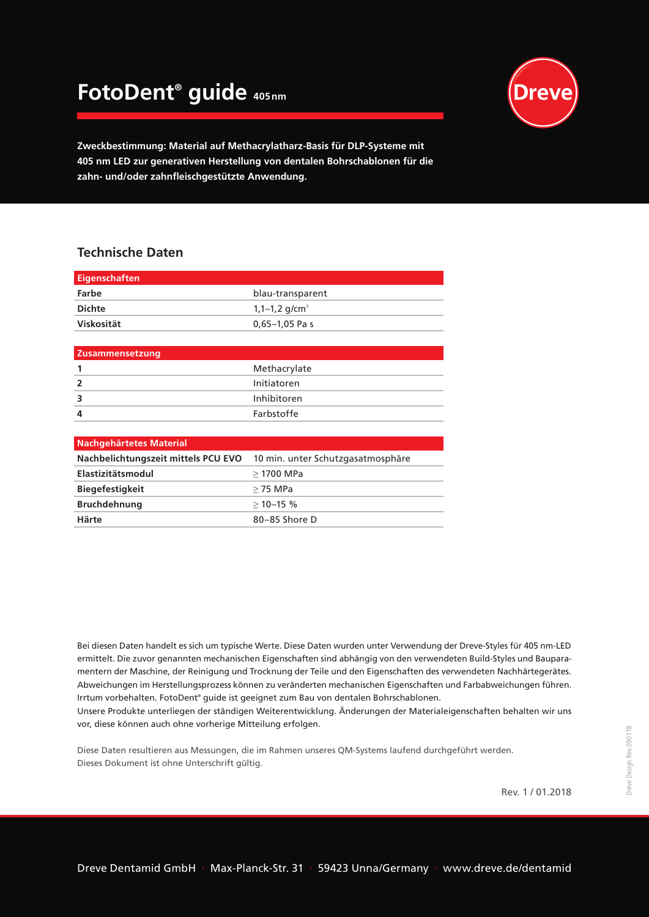## **FotoDent® guide 405nm**



**Zweckbestimmung: Material auf Methacrylatharz-Basis für DLP-Systeme mit 405 nm LED zur generativen Herstellung von dentalen Bohrschablonen für die zahn- und/oder zahnfleischgestützte Anwendung.**

## **Technische Daten**

| <b>Eigenschaften</b>   |                             |
|------------------------|-----------------------------|
| Farbe                  | blau-transparent            |
| <b>Dichte</b>          | $1,1-1,2$ g/cm <sup>3</sup> |
| Viskosität             | $0,65-1,05$ Pa s            |
|                        |                             |
| <b>Zusammensetzung</b> |                             |
| 1                      | Methacrylate                |
| $\overline{2}$         | Initiatoren                 |
| 3                      | Inhibitoren                 |
| 4                      | Farbstoffe                  |
|                        |                             |

| 10 min. unter Schutzgasatmosphäre |
|-----------------------------------|
| $>$ 1700 MPa                      |
| $>$ 75 MPa                        |
| $>10-15$ %                        |
| 80-85 Shore D                     |
|                                   |

Bei diesen Daten handelt es sich um typische Werte. Diese Daten wurden unter Verwendung der Dreve-Styles für 405 nm-LED ermittelt. Die zuvor genannten mechanischen Eigenschaften sind abhängig von den verwendeten Build-Styles und Bauparamentern der Maschine, der Reinigung und Trocknung der Teile und den Eigenschaften des verwendeten Nachhärtegerätes. Abweichungen im Herstellungsprozess können zu veränderten mechanischen Eigenschaften und Farbabweichungen führen. Irrtum vorbehalten. FotoDent® guide ist geeignet zum Bau von dentalen Bohrschablonen.

Unsere Produkte unterliegen der ständigen Weiterentwicklung. Änderungen der Materialeigenschaften behalten wir uns vor, diese können auch ohne vorherige Mitteilung erfolgen.

Diese Daten resultieren aus Messungen, die im Rahmen unseres QM-Systems laufend durchgeführt werden. Dieses Dokument ist ohne Unterschrift gültig.